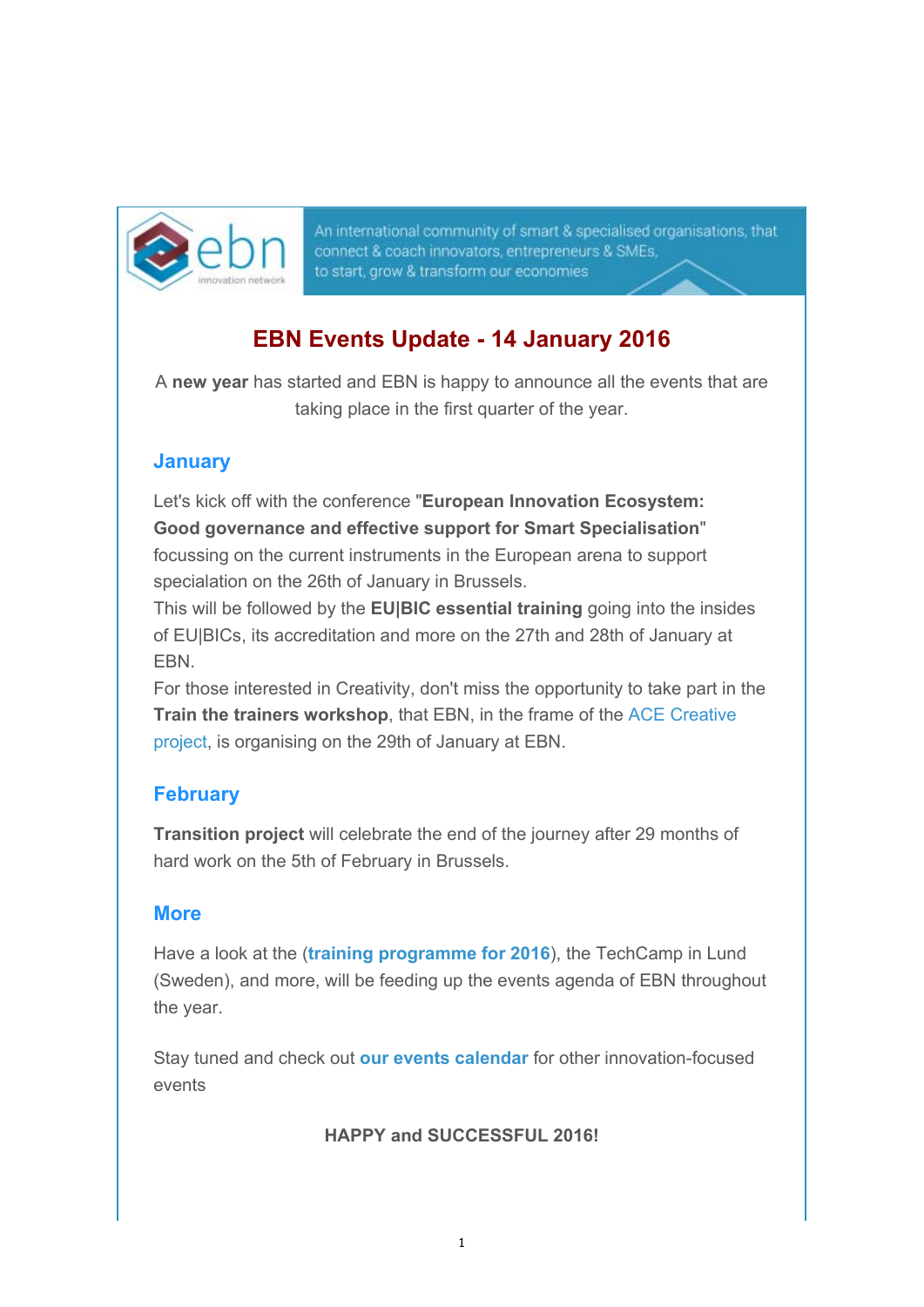

An international community of smart & specialised organisations, that connect & coach innovators, entrepreneurs & SMEs, to start, grow & transform our economies

### **EBN Events Update - 14 January 2016**

A **new year** has started and EBN is happy to announce all the events that are taking place in the first quarter of the year.

### **January**

Let's kick off with the conference "**European Innovation Ecosystem: Good governance and effective support for Smart Specialisation**" focussing on the current instruments in the European arena to support specialation on the 26th of January in Brussels.

This will be followed by the **EU|BIC essential training** going into the insides of EU|BICs, its accreditation and more on the 27th and 28th of January at EBN.

For those interested in Creativity, don't miss the opportunity to take part in the **Train the trainers workshop**, that EBN, in the frame of the ACE Creative project, is organising on the 29th of January at EBN.

### **February**

**Transition project** will celebrate the end of the journey after 29 months of hard work on the 5th of February in Brussels.

### **More**

Have a look at the (**training programme for 2016**), the TechCamp in Lund (Sweden), and more, will be feeding up the events agenda of EBN throughout the year.

Stay tuned and check out **our events calendar** for other innovation-focused events

**HAPPY and SUCCESSFUL 2016!**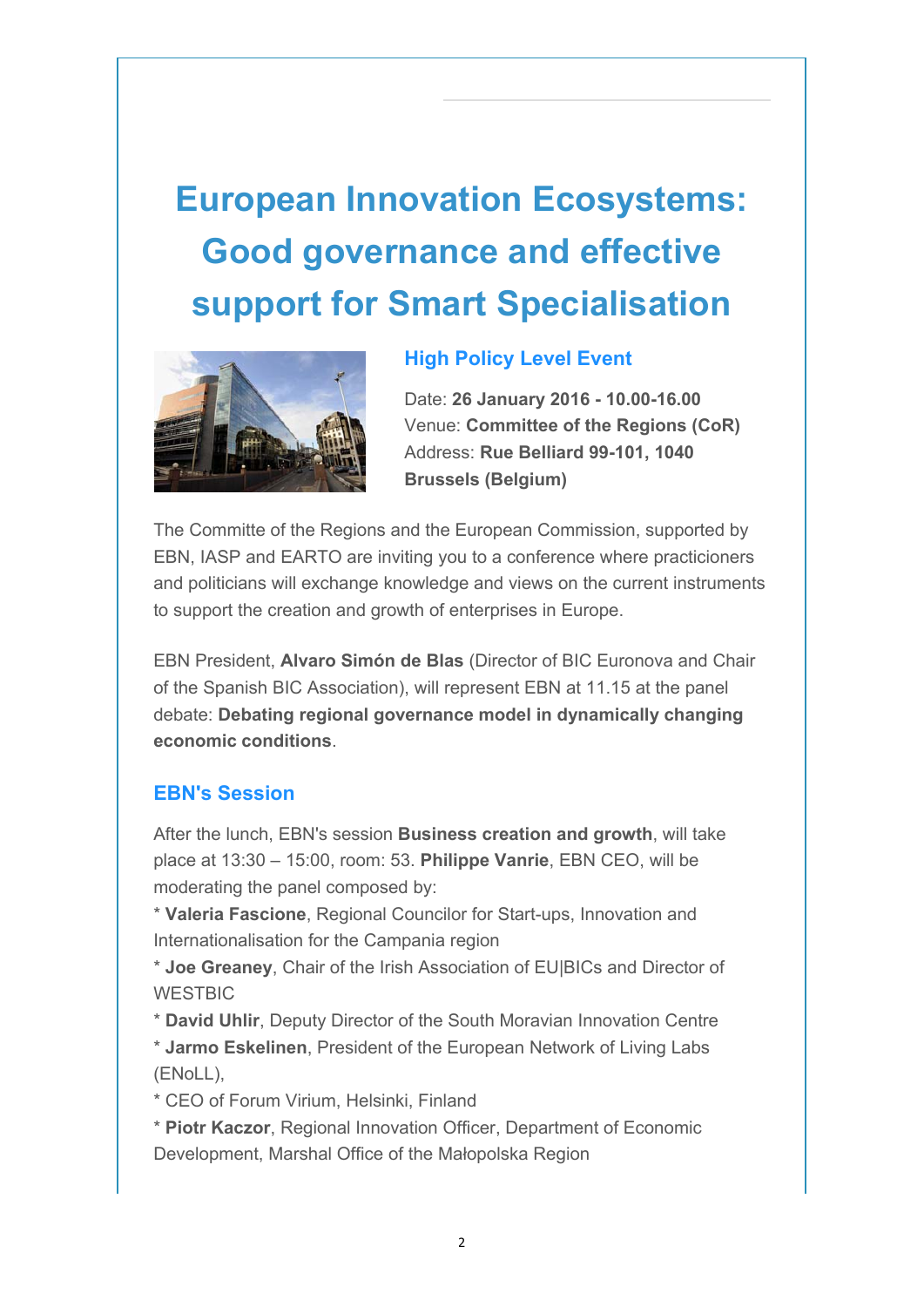# **European Innovation Ecosystems: Good governance and effective support for Smart Specialisation**



#### **High Policy Level Event**

Date: **26 January 2016 - 10.00-16.00** Venue: **Committee of the Regions (CoR)** Address: **Rue Belliard 99-101, 1040 Brussels (Belgium)**

The Committe of the Regions and the European Commission, supported by EBN, IASP and EARTO are inviting you to a conference where practicioners and politicians will exchange knowledge and views on the current instruments to support the creation and growth of enterprises in Europe.

EBN President, **Alvaro Simón de Blas** (Director of BIC Euronova and Chair of the Spanish BIC Association), will represent EBN at 11.15 at the panel debate: **Debating regional governance model in dynamically changing economic conditions**.

#### **EBN's Session**

After the lunch, EBN's session **Business creation and growth**, will take place at 13:30 – 15:00, room: 53. **Philippe Vanrie**, EBN CEO, will be moderating the panel composed by:

\* **Valeria Fascione**, Regional Councilor for Start-ups, Innovation and Internationalisation for the Campania region

\* **Joe Greaney**, Chair of the Irish Association of EU|BICs and Director of **WESTBIC** 

\* **David Uhlir**, Deputy Director of the South Moravian Innovation Centre \* **Jarmo Eskelinen**, President of the European Network of Living Labs (ENoLL),

\* CEO of Forum Virium, Helsinki, Finland

\* **Piotr Kaczor**, Regional Innovation Officer, Department of Economic Development, Marshal Office of the Małopolska Region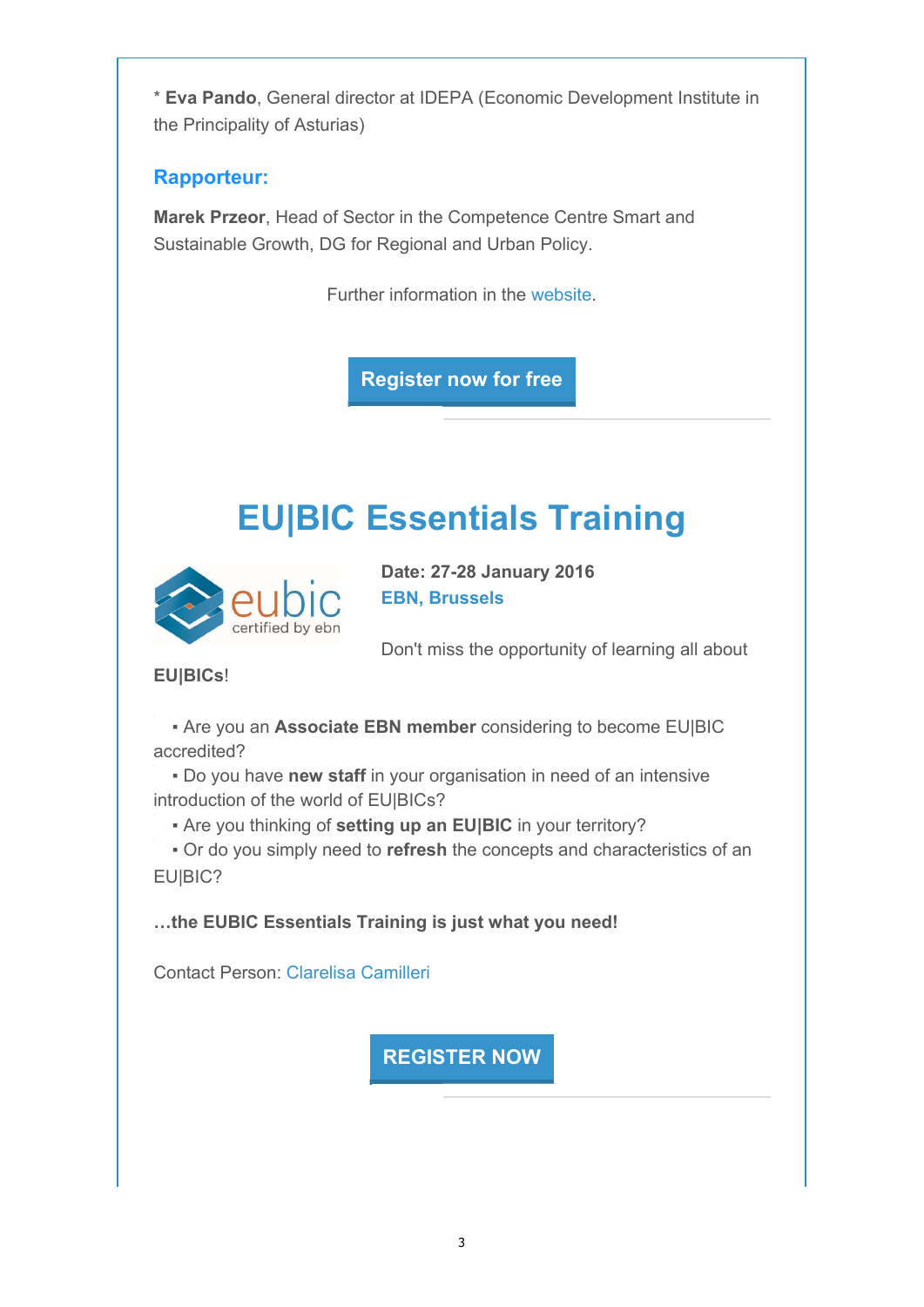\* **Eva Pando**, General director at IDEPA (Economic Development Institute in the Principality of Asturias)

### **Rapporteur:**

**Marek Przeor**, Head of Sector in the Competence Centre Smart and Sustainable Growth, DG for Regional and Urban Policy.

Further information in the website.

**Register now for free**

## **EU|BIC Essentials Training**



**Date: 27-28 January 2016 EBN, Brussels**

Don't miss the opportunity of learning all about

### **EU|BICs**!

▪ Are you an **Associate EBN member** considering to become EU|BIC accredited?

▪ Do you have **new staff** in your organisation in need of an intensive introduction of the world of EU|BICs?

▪ Are you thinking of **setting up an EU|BIC** in your territory?

▪ Or do you simply need to **refresh** the concepts and characteristics of an EU|BIC?

**…the EUBIC Essentials Training is just what you need!**

Contact Person: Clarelisa Camilleri

**REGISTER NOW**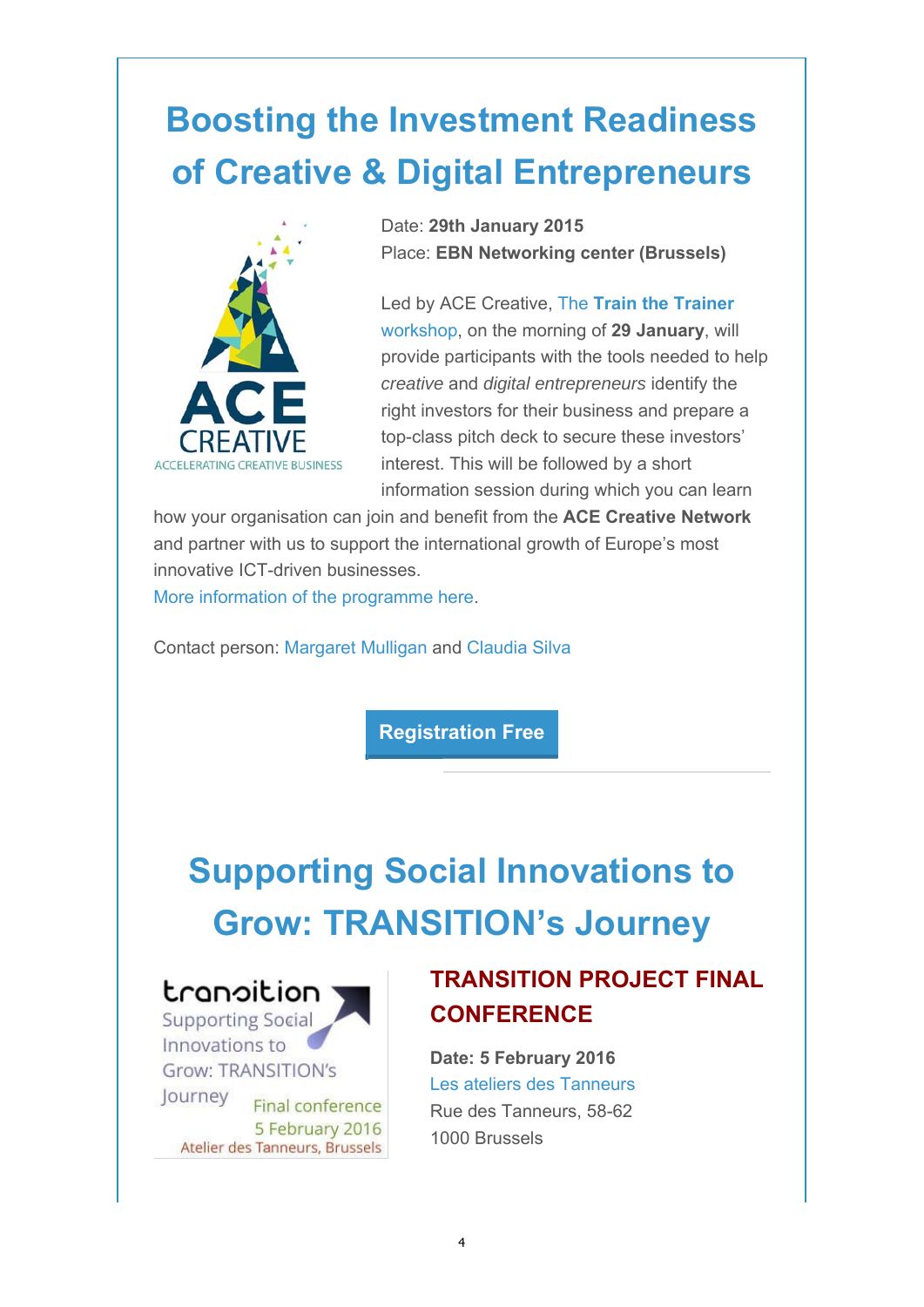# **Boosting the Investment Readiness of Creative & Digital Entrepreneurs**



Date: **29th January 2015** Place: **EBN Networking center (Brussels)**

Led by ACE Creative, The **Train the Trainer** workshop, on the morning of **29 January**, will provide participants with the tools needed to help *creative* and *digital entrepreneurs* identify the right investors for their business and prepare a top-class pitch deck to secure these investors' interest. This will be followed by a short information session during which you can learn

how your organisation can join and benefit from the **ACE Creative Network** and partner with us to support the international growth of Europe's most innovative ICT-driven businesses.

More information of the programme here.

Contact person: Margaret Mulligan and Claudia Silva

**Registration Free**

## **Supporting Social Innovations to Grow: TRANSITION's Journey**



Innovations to **Grow: TRANSITION's** Journey

**Final conference** 5 February 2016 Atelier des Tanneurs, Brussels

### **TRANSITION PROJECT FINAL CONFERENCE**

**Date: 5 February 2016** Les ateliers des Tanneurs Rue des Tanneurs, 58-62 1000 Brussels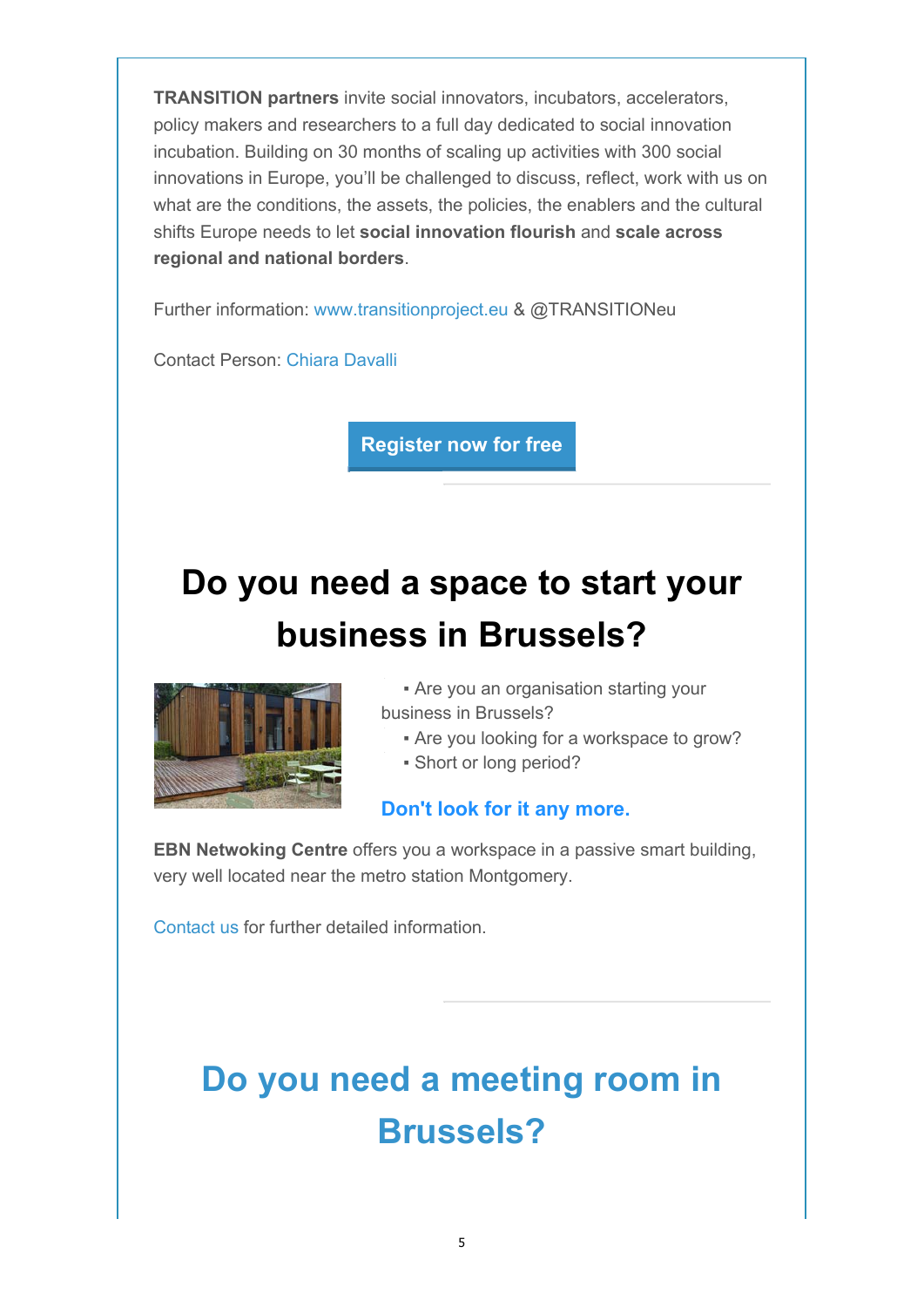**TRANSITION partners** invite social innovators, incubators, accelerators, policy makers and researchers to a full day dedicated to social innovation incubation. Building on 30 months of scaling up activities with 300 social innovations in Europe, you'll be challenged to discuss, reflect, work with us on what are the conditions, the assets, the policies, the enablers and the cultural shifts Europe needs to let **social innovation flourish** and **scale across regional and national borders**.

Further information: www.transitionproject.eu & @TRANSITIONeu

Contact Person: Chiara Davalli

**Register now for free**

# **Do you need a space to start your business in Brussels?**



**• Are you an organisation starting your** business in Brussels?

**• Are you looking for a workspace to grow?** 

▪ Short or long period?

### **Don't look for it any more.**

**EBN Netwoking Centre** offers you a workspace in a passive smart building, very well located near the metro station Montgomery.

Contact us for further detailed information.

# **Do you need a meeting room in Brussels?**